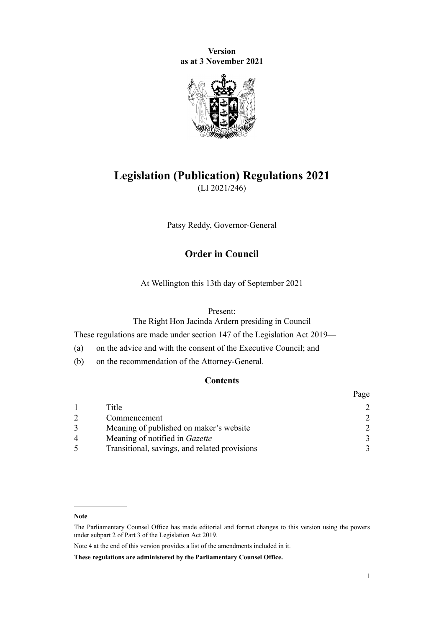**Version as at 3 November 2021**



# **Legislation (Publication) Regulations 2021**

(LI 2021/246)

Patsy Reddy, Governor-General

## **Order in Council**

At Wellington this 13th day of September 2021

#### Present:

The Right Hon Jacinda Ardern presiding in Council

These regulations are made under [section 147](http://legislation.govt.nz/pdflink.aspx?id=DLM7298481) of the [Legislation Act 2019](http://legislation.govt.nz/pdflink.aspx?id=DLM7298104)—

- (a) on the advice and with the consent of the Executive Council; and
- (b) on the recommendation of the Attorney-General.

## **Contents**

|   |                                               | Page          |
|---|-----------------------------------------------|---------------|
|   | Title                                         |               |
|   | Commencement                                  |               |
|   | Meaning of published on maker's website       | $\mathcal{D}$ |
| 4 | Meaning of notified in Gazette                | $\mathbf{3}$  |
|   | Transitional, savings, and related provisions |               |

**Note**

The Parliamentary Counsel Office has made editorial and format changes to this version using the powers under [subpart 2](http://legislation.govt.nz/pdflink.aspx?id=DLM7298371) of Part 3 of the Legislation Act 2019.

Note 4 at the end of this version provides a list of the amendments included in it.

**These regulations are administered by the Parliamentary Counsel Office.**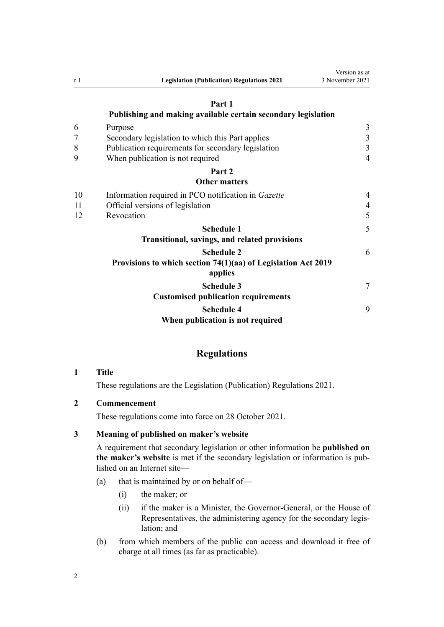<span id="page-1-0"></span>

| r <sub>1</sub> | <b>Legislation (Publication) Regulations 2021</b>                        | 3 November 2021 |
|----------------|--------------------------------------------------------------------------|-----------------|
|                | Part 1                                                                   |                 |
|                | Publishing and making available certain secondary legislation            |                 |
| 6              | Purpose                                                                  | 3               |
| 7              | Secondary legislation to which this Part applies                         | $\mathfrak{Z}$  |
| 8              | Publication requirements for secondary legislation                       | $\overline{3}$  |
| 9              | When publication is not required                                         | $\overline{4}$  |
|                | Part 2                                                                   |                 |
|                | <b>Other matters</b>                                                     |                 |
| 10             | Information required in PCO notification in Gazette                      | 4               |
| 11             | Official versions of legislation                                         | $\overline{4}$  |
| 12             | Revocation                                                               | 5               |
|                | <b>Schedule 1</b>                                                        | 5               |
|                | Transitional, savings, and related provisions                            |                 |
|                | <b>Schedule 2</b>                                                        | 6               |
|                | Provisions to which section 74(1)(aa) of Legislation Act 2019<br>applies |                 |
|                | <b>Schedule 3</b><br><b>Customised publication requirements</b>          | 7               |
|                | <b>Schedule 4</b><br>When publication is not required                    | 9               |

Version as at 3 November 2021

## **Regulations**

**1 Title**

These regulations are the Legislation (Publication) Regulations 2021.

### **2 Commencement**

These regulations come into force on 28 October 2021.

### **3 Meaning of published on maker's website**

A requirement that secondary legislation or other information be **published on the maker's website** is met if the secondary legislation or information is pub‐ lished on an Internet site—

- (a) that is maintained by or on behalf of—
	- (i) the maker; or
	- (ii) if the maker is a Minister, the Governor-General, or the House of Representatives, the administering agency for the secondary legislation; and
- (b) from which members of the public can access and download it free of charge at all times (as far as practicable).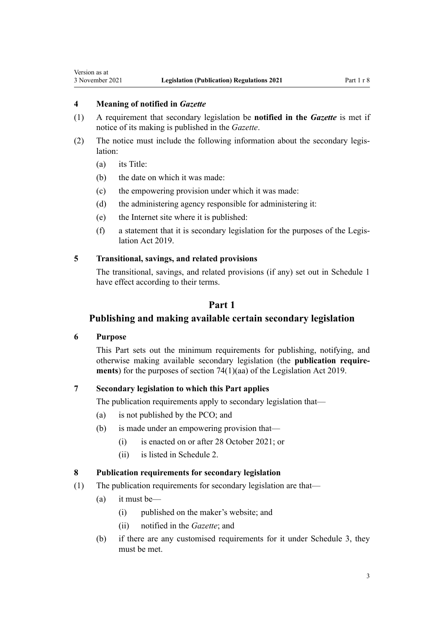## <span id="page-2-0"></span>**4 Meaning of notified in** *Gazette*

- (1) A requirement that secondary legislation be **notified in the** *Gazette* is met if notice of its making is published in the *Gazette*.
- (2) The notice must include the following information about the secondary legis‐ lation:
	- (a) its Title:
	- (b) the date on which it was made:
	- (c) the empowering provision under which it was made:
	- (d) the administering agency responsible for administering it:
	- (e) the Internet site where it is published:
	- (f) a statement that it is secondary legislation for the purposes of the [Legis‐](http://legislation.govt.nz/pdflink.aspx?id=DLM7298104) [lation Act 2019.](http://legislation.govt.nz/pdflink.aspx?id=DLM7298104)

## **5 Transitional, savings, and related provisions**

The transitional, savings, and related provisions (if any) set out in [Schedule 1](#page-4-0) have effect according to their terms.

## **Part 1**

## **Publishing and making available certain secondary legislation**

## **6 Purpose**

This Part sets out the minimum requirements for publishing, notifying, and otherwise making available secondary legislation (the **publication require‐ ments**) for the purposes of [section 74\(1\)\(aa\)](http://legislation.govt.nz/pdflink.aspx?id=LMS260122) of the Legislation Act 2019.

## **7 Secondary legislation to which this Part applies**

The publication requirements apply to secondary legislation that—

- (a) is not published by the PCO; and
- (b) is made under an empowering provision that—
	- (i) is enacted on or after 28 October 2021; or
	- (ii) is listed in [Schedule 2](#page-5-0).

#### **8 Publication requirements for secondary legislation**

- (1) The publication requirements for secondary legislation are that—
	- (a) it must be—
		- (i) published on the maker's website; and
		- (ii) notified in the *Gazette*; and
	- (b) if there are any customised requirements for it under [Schedule 3](#page-6-0), they must be met.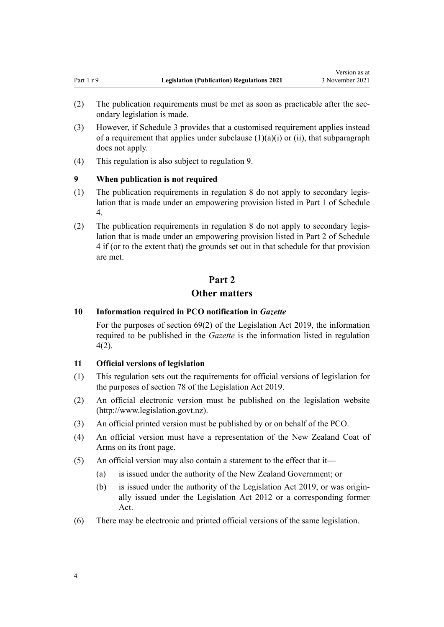- <span id="page-3-0"></span>(2) The publication requirements must be met as soon as practicable after the secondary legislation is made.
- (3) However, if [Schedule 3](#page-6-0) provides that a customised requirement applies instead of a requirement that applies under subclause  $(1)(a)(i)$  or  $(ii)$ , that subparagraph does not apply.
- (4) This regulation is also subject to regulation 9.

#### **9 When publication is not required**

- $(1)$  The publication requirements in [regulation 8](#page-2-0) do not apply to secondary legislation that is made under an empowering provision listed in Part 1 of [Schedule](#page-8-0) [4.](#page-8-0)
- (2) The publication requirements in [regulation 8](#page-2-0) do not apply to secondary legis‐ lation that is made under an empowering provision listed in Part 2 of [Schedule](#page-8-0) [4](#page-8-0) if (or to the extent that) the grounds set out in that schedule for that provision are met.

## **Part 2**

## **Other matters**

#### **10 Information required in PCO notification in** *Gazette*

For the purposes of [section 69\(2\)](http://legislation.govt.nz/pdflink.aspx?id=DLM7298353) of the Legislation Act 2019, the information required to be published in the *Gazette* is the information listed in [regulation](#page-2-0) [4\(2\)](#page-2-0).

#### **11 Official versions of legislation**

- (1) This regulation sets out the requirements for official versions of legislation for the purposes of [section 78](http://legislation.govt.nz/pdflink.aspx?id=DLM7298365) of the Legislation Act 2019.
- (2) An official electronic version must be published on the legislation website [\(http://www.legislation.govt.nz\)](http://www.legislation.govt.nz).
- (3) An official printed version must be published by or on behalf of the PCO.
- (4) An official version must have a representation of the New Zealand Coat of Arms on its front page.
- (5) An official version may also contain a statement to the effect that it—
	- (a) is issued under the authority of the New Zealand Government; or
	- (b) is issued under the authority of the [Legislation Act 2019,](http://legislation.govt.nz/pdflink.aspx?id=DLM7298104) or was origin‐ ally issued under the [Legislation Act 2012](http://legislation.govt.nz/pdflink.aspx?id=DLM2997643) or a corresponding former Act.
- (6) There may be electronic and printed official versions of the same legislation.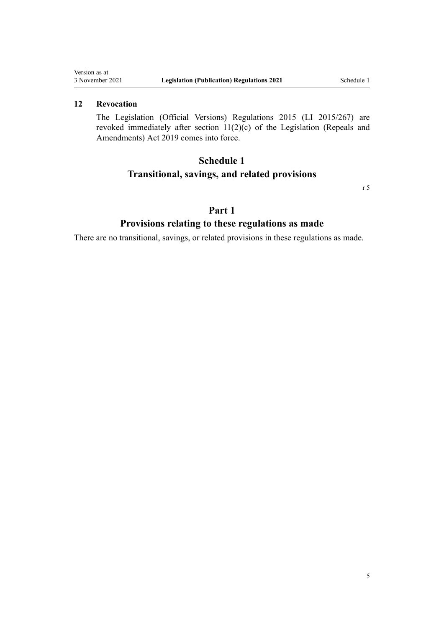## <span id="page-4-0"></span>**12 Revocation**

The [Legislation \(Official Versions\) Regulations 2015](http://legislation.govt.nz/pdflink.aspx?id=DLM6644312) (LI 2015/267) are revoked immediately after section  $11(2)(c)$  of the Legislation (Repeals and Amendments) Act 2019 comes into force.

## **Schedule 1**

## **Transitional, savings, and related provisions**

[r 5](#page-2-0)

## **Part 1**

## **Provisions relating to these regulations as made**

There are no transitional, savings, or related provisions in these regulations as made.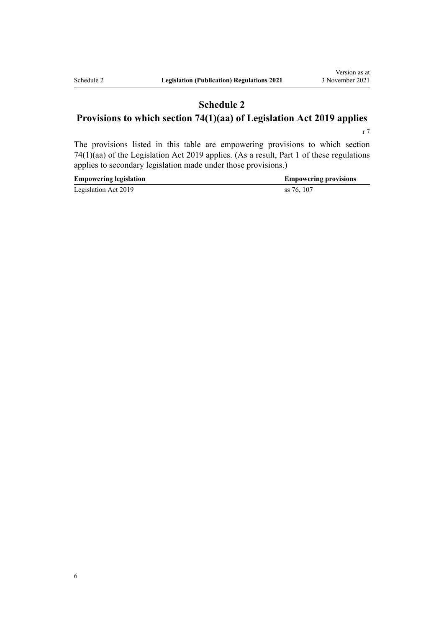## <span id="page-5-0"></span>**Schedule 2 Provisions to which section 74(1)(aa) of Legislation Act 2019 applies**

[r 7](#page-2-0)

The provisions listed in this table are empowering provisions to which [section](http://legislation.govt.nz/pdflink.aspx?id=LMS260122) [74\(1\)\(aa\)](http://legislation.govt.nz/pdflink.aspx?id=LMS260122) of the Legislation Act 2019 applies. (As a result, [Part 1](#page-2-0) of these regulations applies to secondary legislation made under those provisions.)

| <b>Empowering legislation</b> | <b>Empowering provisions</b> |
|-------------------------------|------------------------------|
| Legislation Act 2019          | ss 76, 107                   |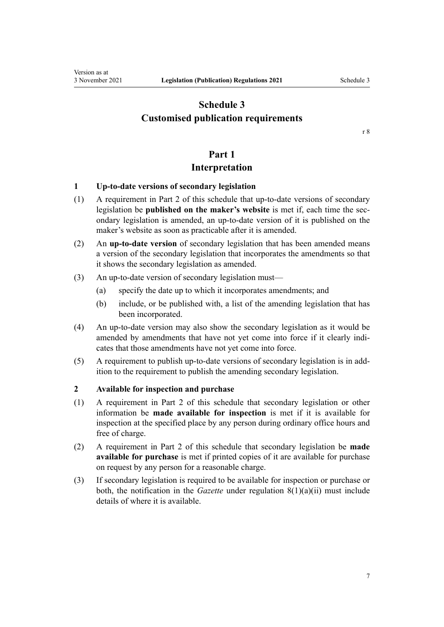## <span id="page-6-0"></span>**Schedule 3 Customised publication requirements**

## **Part 1**

## **Interpretation**

#### **1 Up-to-date versions of secondary legislation**

- (1) A requirement in [Part 2](#page-7-0) of this schedule that up-to-date versions of secondary legislation be **published on the maker's website** is met if, each time the secondary legislation is amended, an up-to-date version of it is published on the maker's website as soon as practicable after it is amended.
- (2) An **up-to-date version** of secondary legislation that has been amended means a version of the secondary legislation that incorporates the amendments so that it shows the secondary legislation as amended.
- (3) An up-to-date version of secondary legislation must—
	- (a) specify the date up to which it incorporates amendments; and
	- (b) include, or be published with, a list of the amending legislation that has been incorporated.
- (4) An up-to-date version may also show the secondary legislation as it would be amended by amendments that have not yet come into force if it clearly indicates that those amendments have not yet come into force.
- (5) A requirement to publish up-to-date versions of secondary legislation is in add‐ ition to the requirement to publish the amending secondary legislation.

#### **2 Available for inspection and purchase**

- (1) A requirement in [Part 2](#page-7-0) of this schedule that secondary legislation or other information be **made available for inspection** is met if it is available for inspection at the specified place by any person during ordinary office hours and free of charge.
- (2) A requirement in [Part 2](#page-7-0) of this schedule that secondary legislation be **made available for purchase** is met if printed copies of it are available for purchase on request by any person for a reasonable charge.
- (3) If secondary legislation is required to be available for inspection or purchase or both, the notification in the *Gazette* under [regulation 8\(1\)\(a\)\(ii\)](#page-2-0) must include details of where it is available.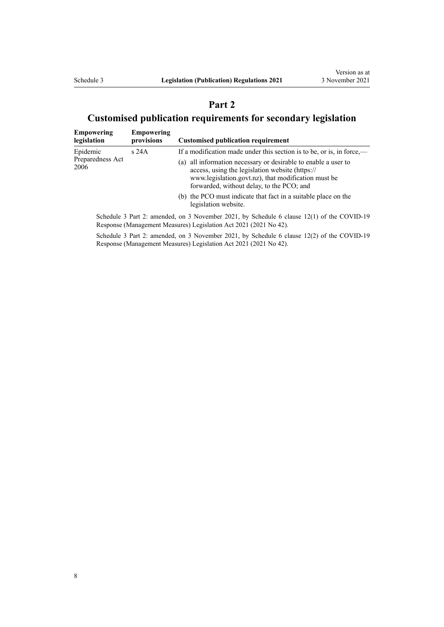## **Part 2**

# <span id="page-7-0"></span>**Customised publication requirements for secondary legislation**

| <b>Empowering</b><br>legislation | <b>Empowering</b><br>provisions | <b>Customised publication requirement</b>                                                                                                                                                                             |
|----------------------------------|---------------------------------|-----------------------------------------------------------------------------------------------------------------------------------------------------------------------------------------------------------------------|
| Epidemic                         | s24A                            | If a modification made under this section is to be, or is, in force,—                                                                                                                                                 |
| Preparedness Act<br>2006         |                                 | (a) all information necessary or desirable to enable a user to<br>access, using the legislation website (https://<br>www.legislation.govt.nz), that modification must be<br>forwarded, without delay, to the PCO; and |
|                                  |                                 | (b) the PCO must indicate that fact in a suitable place on the<br>legislation website.                                                                                                                                |
|                                  |                                 | Schedule 3 Part 2: amended, on 3 November 2021, by Schedule 6 clause 12(1) of the COVID-19                                                                                                                            |

Response (Management Measures) Legislation Act 2021 (2021 No 42).

Schedule 3 Part 2: amended, on 3 November 2021, by Schedule 6 [clause 12\(2\)](http://legislation.govt.nz/pdflink.aspx?id=LMS565289) of the COVID-19 Response (Management Measures) Legislation Act 2021 (2021 No 42).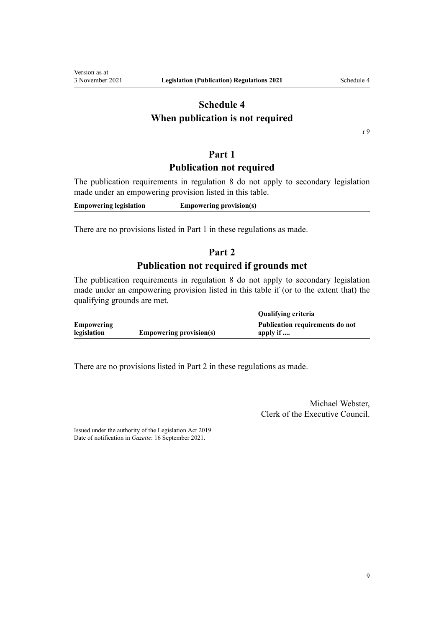## <span id="page-8-0"></span>**Schedule 4 When publication is not required**

[r 9](#page-3-0)

## **Part 1**

## **Publication not required**

The publication requirements in [regulation 8](#page-2-0) do not apply to secondary legislation made under an empowering provision listed in this table.

**Empowering legislation Empowering provision(s)**

There are no provisions listed in Part 1 in these regulations as made.

## **Part 2**

## **Publication not required if grounds met**

The publication requirements in [regulation 8](#page-2-0) do not apply to secondary legislation made under an empowering provision listed in this table if (or to the extent that) the qualifying grounds are met.

|                   |                                | Qualifying criteria             |
|-------------------|--------------------------------|---------------------------------|
| <b>Empowering</b> |                                | Publication requirements do not |
| legislation       | <b>Empowering provision(s)</b> | apply if                        |

There are no provisions listed in Part 2 in these regulations as made.

Michael Webster, Clerk of the Executive Council.

Issued under the authority of the [Legislation Act 2019](http://legislation.govt.nz/pdflink.aspx?id=DLM7298104). Date of notification in *Gazette*: 16 September 2021.